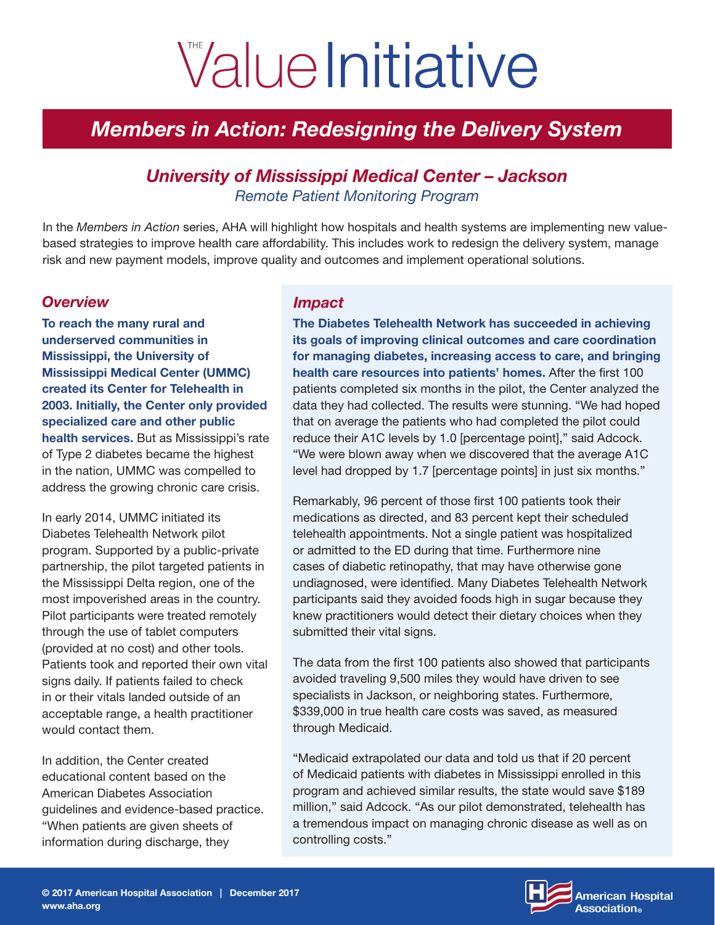# ValueInitiative

# *Members in Action: Redesigning the Delivery System*

# *University of Mississippi Medical Center – Jackson Remote Patient Monitoring Program*

In the *Members in Action* series, AHA will highlight how hospitals and health systems are implementing new valuebased strategies to improve health care affordability. This includes work to redesign the delivery system, manage risk and new payment models, improve quality and outcomes and implement operational solutions.

#### *Overview*

To reach the many rural and underserved communities in Mississippi, the University of Mississippi Medical Center (UMMC) created its Center for Telehealth in 2003. Initially, the Center only provided specialized care and other public health services. But as Mississippi's rate of Type 2 diabetes became the highest in the nation, UMMC was compelled to address the growing chronic care crisis.

In early 2014, UMMC initiated its Diabetes Telehealth Network pilot program. Supported by a public-private partnership, the pilot targeted patients in the Mississippi Delta region, one of the most impoverished areas in the country. Pilot participants were treated remotely through the use of tablet computers (provided at no cost) and other tools. Patients took and reported their own vital signs daily. If patients failed to check in or their vitals landed outside of an acceptable range, a health practitioner would contact them.

In addition, the Center created educational content based on the American Diabetes Association guidelines and evidence-based practice. "When patients are given sheets of information during discharge, they

## *Impact*

The Diabetes Telehealth Network has succeeded in achieving its goals of improving clinical outcomes and care coordination for managing diabetes, increasing access to care, and bringing health care resources into patients' homes. After the first 100 patients completed six months in the pilot, the Center analyzed the data they had collected. The results were stunning. "We had hoped that on average the patients who had completed the pilot could reduce their A1C levels by 1.0 [percentage point]," said Adcock. "We were blown away when we discovered that the average A1C level had dropped by 1.7 [percentage points] in just six months."

Remarkably, 96 percent of those first 100 patients took their medications as directed, and 83 percent kept their scheduled telehealth appointments. Not a single patient was hospitalized or admitted to the ED during that time. Furthermore nine cases of diabetic retinopathy, that may have otherwise gone undiagnosed, were identified. Many Diabetes Telehealth Network participants said they avoided foods high in sugar because they knew practitioners would detect their dietary choices when they submitted their vital signs.

The data from the first 100 patients also showed that participants avoided traveling 9,500 miles they would have driven to see specialists in Jackson, or neighboring states. Furthermore, \$339,000 in true health care costs was saved, as measured through Medicaid.

"Medicaid extrapolated our data and told us that if 20 percent of Medicaid patients with diabetes in Mississippi enrolled in this program and achieved similar results, the state would save \$189 million," said Adcock. "As our pilot demonstrated, telehealth has a tremendous impact on managing chronic disease as well as on controlling costs."